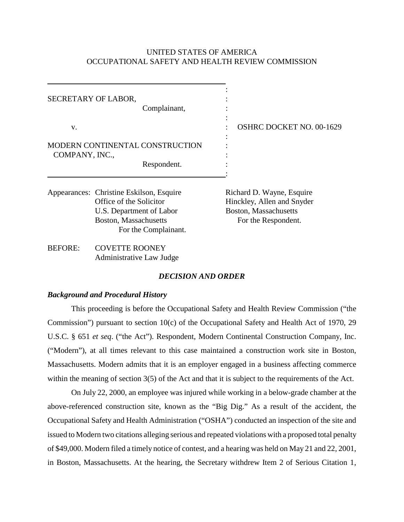# UNITED STATES OF AMERICA OCCUPATIONAL SAFETY AND HEALTH REVIEW COMMISSION

|                                                                  | SECRETARY OF LABOR,<br>Complainant,                                                                                                                     |                                                                                                         |
|------------------------------------------------------------------|---------------------------------------------------------------------------------------------------------------------------------------------------------|---------------------------------------------------------------------------------------------------------|
| V.                                                               |                                                                                                                                                         | <b>OSHRC DOCKET NO. 00-1629</b>                                                                         |
| MODERN CONTINENTAL CONSTRUCTION<br>COMPANY, INC.,<br>Respondent. |                                                                                                                                                         |                                                                                                         |
|                                                                  | Appearances: Christine Eskilson, Esquire<br>Office of the Solicitor<br>U.S. Department of Labor<br><b>Boston, Massachusetts</b><br>For the Complainant. | Richard D. Wayne, Esquire<br>Hinckley, Allen and Snyder<br>Boston, Massachusetts<br>For the Respondent. |
| <b>BEFORE:</b>                                                   | <b>COVETTE ROONEY</b>                                                                                                                                   |                                                                                                         |

# *DECISION AND ORDER*

### *Background and Procedural History*

Administrative Law Judge

This proceeding is before the Occupational Safety and Health Review Commission ("the Commission") pursuant to section 10(c) of the Occupational Safety and Health Act of 1970, 29 U.S.C. § 651 *et seq*. ("the Act"). Respondent, Modern Continental Construction Company, Inc. ("Modern"), at all times relevant to this case maintained a construction work site in Boston, Massachusetts. Modern admits that it is an employer engaged in a business affecting commerce within the meaning of section 3(5) of the Act and that it is subject to the requirements of the Act.

On July 22, 2000, an employee was injured while working in a below-grade chamber at the above-referenced construction site, known as the "Big Dig." As a result of the accident, the Occupational Safety and Health Administration ("OSHA") conducted an inspection of the site and issued to Modern two citations alleging serious and repeated violations with a proposed total penalty of \$49,000. Modern filed a timely notice of contest, and a hearing was held on May 21 and 22, 2001, in Boston, Massachusetts. At the hearing, the Secretary withdrew Item 2 of Serious Citation 1,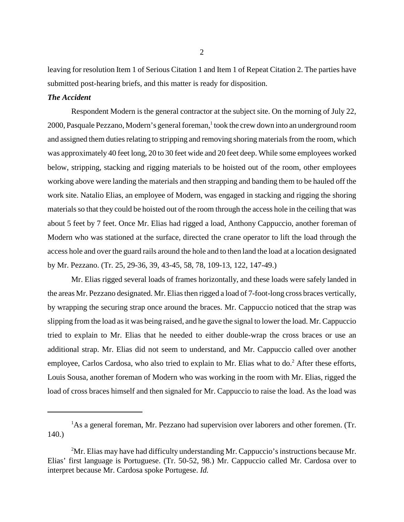leaving for resolution Item 1 of Serious Citation 1 and Item 1 of Repeat Citation 2. The parties have submitted post-hearing briefs, and this matter is ready for disposition.

## *The Accident*

Respondent Modern is the general contractor at the subject site. On the morning of July 22, 2000, Pasquale Pezzano, Modern's general foreman,<sup>1</sup> took the crew down into an underground room and assigned them duties relating to stripping and removing shoring materials from the room, which was approximately 40 feet long, 20 to 30 feet wide and 20 feet deep. While some employees worked below, stripping, stacking and rigging materials to be hoisted out of the room, other employees working above were landing the materials and then strapping and banding them to be hauled off the work site. Natalio Elias, an employee of Modern, was engaged in stacking and rigging the shoring materials so that they could be hoisted out of the room through the access hole in the ceiling that was about 5 feet by 7 feet. Once Mr. Elias had rigged a load, Anthony Cappuccio, another foreman of Modern who was stationed at the surface, directed the crane operator to lift the load through the access hole and over the guard rails around the hole and to then land the load at a location designated by Mr. Pezzano. (Tr. 25, 29-36, 39, 43-45, 58, 78, 109-13, 122, 147-49.)

Mr. Elias rigged several loads of frames horizontally, and these loads were safely landed in the areas Mr. Pezzano designated. Mr. Elias then rigged a load of 7-foot-long cross braces vertically, by wrapping the securing strap once around the braces. Mr. Cappuccio noticed that the strap was slipping from the load as it was being raised, and he gave the signal to lower the load. Mr. Cappuccio tried to explain to Mr. Elias that he needed to either double-wrap the cross braces or use an additional strap. Mr. Elias did not seem to understand, and Mr. Cappuccio called over another employee, Carlos Cardosa, who also tried to explain to Mr. Elias what to do.<sup>2</sup> After these efforts, Louis Sousa, another foreman of Modern who was working in the room with Mr. Elias, rigged the load of cross braces himself and then signaled for Mr. Cappuccio to raise the load. As the load was

<sup>&</sup>lt;sup>1</sup>As a general foreman, Mr. Pezzano had supervision over laborers and other foremen. (Tr. 140.)

 $2<sup>2</sup>$ Mr. Elias may have had difficulty understanding Mr. Cappuccio's instructions because Mr. Elias' first language is Portuguese. (Tr. 50-52, 98.) Mr. Cappuccio called Mr. Cardosa over to interpret because Mr. Cardosa spoke Portugese. *Id.*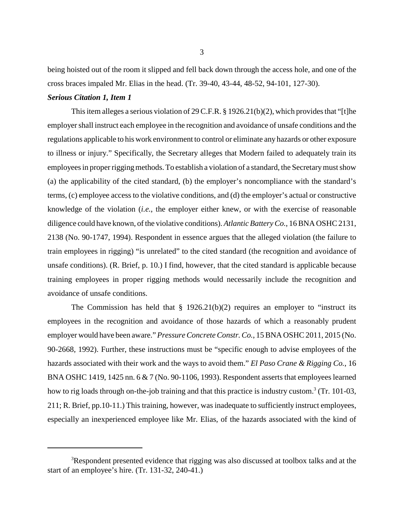being hoisted out of the room it slipped and fell back down through the access hole, and one of the cross braces impaled Mr. Elias in the head. (Tr. 39-40, 43-44, 48-52, 94-101, 127-30).

### *Serious Citation 1, Item 1*

This item alleges a serious violation of 29 C.F.R. § 1926.21(b)(2), which provides that "[t]he employer shall instruct each employee in the recognition and avoidance of unsafe conditions and the regulations applicable to his work environment to control or eliminate any hazards or other exposure to illness or injury." Specifically, the Secretary alleges that Modern failed to adequately train its employees in proper rigging methods. To establish a violation of a standard, the Secretary must show (a) the applicability of the cited standard, (b) the employer's noncompliance with the standard's terms, (c) employee access to the violative conditions, and (d) the employer's actual or constructive knowledge of the violation (*i.e.*, the employer either knew, or with the exercise of reasonable diligence could have known, of the violative conditions). *Atlantic Battery Co.*, 16 BNA OSHC 2131, 2138 (No. 90-1747, 1994). Respondent in essence argues that the alleged violation (the failure to train employees in rigging) "is unrelated" to the cited standard (the recognition and avoidance of unsafe conditions). (R. Brief, p. 10.) I find, however, that the cited standard is applicable because training employees in proper rigging methods would necessarily include the recognition and avoidance of unsafe conditions.

The Commission has held that  $\S$  1926.21(b)(2) requires an employer to "instruct its employees in the recognition and avoidance of those hazards of which a reasonably prudent employer would have been aware." *Pressure Concrete Constr. Co.*, 15 BNA OSHC 2011, 2015 (No. 90-2668, 1992). Further, these instructions must be "specific enough to advise employees of the hazards associated with their work and the ways to avoid them." *El Paso Crane & Rigging Co.*, 16 BNA OSHC 1419, 1425 nn. 6 & 7 (No. 90-1106, 1993). Respondent asserts that employees learned how to rig loads through on-the-job training and that this practice is industry custom.<sup>3</sup> (Tr. 101-03, 211; R. Brief, pp.10-11.) This training, however, was inadequate to sufficiently instruct employees, especially an inexperienced employee like Mr. Elias, of the hazards associated with the kind of

<sup>&</sup>lt;sup>3</sup>Respondent presented evidence that rigging was also discussed at toolbox talks and at the start of an employee's hire. (Tr. 131-32, 240-41.)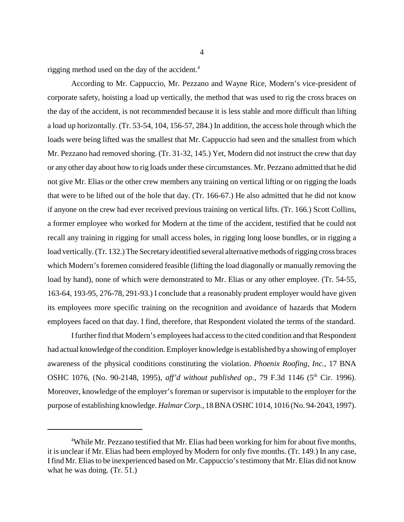rigging method used on the day of the accident.<sup>4</sup>

According to Mr. Cappuccio, Mr. Pezzano and Wayne Rice, Modern's vice-president of corporate safety, hoisting a load up vertically, the method that was used to rig the cross braces on the day of the accident, is not recommended because it is less stable and more difficult than lifting a load up horizontally. (Tr. 53-54, 104, 156-57, 284.) In addition, the access hole through which the loads were being lifted was the smallest that Mr. Cappuccio had seen and the smallest from which Mr. Pezzano had removed shoring. (Tr. 31-32, 145.) Yet, Modern did not instruct the crew that day or any other day about how to rig loads under these circumstances. Mr. Pezzano admitted that he did not give Mr. Elias or the other crew members any training on vertical lifting or on rigging the loads that were to be lifted out of the hole that day. (Tr. 166-67.) He also admitted that he did not know if anyone on the crew had ever received previous training on vertical lifts. (Tr. 166.) Scott Collins, a former employee who worked for Modern at the time of the accident, testified that he could not recall any training in rigging for small access holes, in rigging long loose bundles, or in rigging a load vertically. (Tr. 132.) The Secretary identified several alternative methods of rigging cross braces which Modern's foremen considered feasible (lifting the load diagonally or manually removing the load by hand), none of which were demonstrated to Mr. Elias or any other employee. (Tr. 54-55, 163-64, 193-95, 276-78, 291-93.) I conclude that a reasonably prudent employer would have given its employees more specific training on the recognition and avoidance of hazards that Modern employees faced on that day. I find, therefore, that Respondent violated the terms of the standard.

I further find that Modern's employees had access to the cited condition and that Respondent had actual knowledge of the condition. Employer knowledge is established by a showing of employer awareness of the physical conditions constituting the violation. *Phoenix Roofing, Inc.*, 17 BNA OSHC 1076, (No. 90-2148, 1995), *aff'd without published op.*, 79 F.3d 1146 (5<sup>th</sup> Cir. 1996). Moreover, knowledge of the employer's foreman or supervisor is imputable to the employer for the purpose of establishing knowledge. *Halmar Corp.*, 18 BNA OSHC 1014, 1016 (No. 94-2043, 1997).

<sup>&</sup>lt;sup>4</sup>While Mr. Pezzano testified that Mr. Elias had been working for him for about five months, it is unclear if Mr. Elias had been employed by Modern for only five months. (Tr. 149.) In any case, I find Mr. Elias to be inexperienced based on Mr. Cappuccio's testimony that Mr. Elias did not know what he was doing. (Tr. 51.)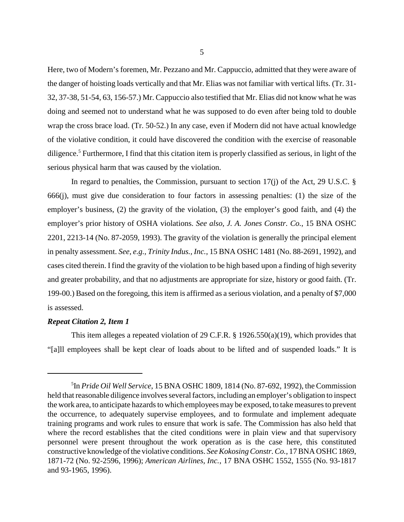Here, two of Modern's foremen, Mr. Pezzano and Mr. Cappuccio, admitted that they were aware of the danger of hoisting loads vertically and that Mr. Elias was not familiar with vertical lifts. (Tr. 31- 32, 37-38, 51-54, 63, 156-57.) Mr. Cappuccio also testified that Mr. Elias did not know what he was doing and seemed not to understand what he was supposed to do even after being told to double wrap the cross brace load. (Tr. 50-52.) In any case, even if Modern did not have actual knowledge of the violative condition, it could have discovered the condition with the exercise of reasonable diligence. 5 Furthermore, I find that this citation item is properly classified as serious, in light of the serious physical harm that was caused by the violation.

In regard to penalties, the Commission, pursuant to section 17(j) of the Act, 29 U.S.C. § 666(j), must give due consideration to four factors in assessing penalties: (1) the size of the employer's business, (2) the gravity of the violation, (3) the employer's good faith, and (4) the employer's prior history of OSHA violations. *See also*, *J. A. Jones Constr. Co.*, 15 BNA OSHC 2201, 2213-14 (No. 87-2059, 1993). The gravity of the violation is generally the principal element in penalty assessment. *See, e.g., Trinity Indus., Inc.*, 15 BNA OSHC 1481 (No. 88-2691, 1992), and cases cited therein. I find the gravity of the violation to be high based upon a finding of high severity and greater probability, and that no adjustments are appropriate for size, history or good faith. (Tr. 199-00.) Based on the foregoing, this item is affirmed as a serious violation, and a penalty of \$7,000 is assessed.

#### *Repeat Citation 2, Item 1*

This item alleges a repeated violation of 29 C.F.R. § 1926.550(a)(19), which provides that "[a]ll employees shall be kept clear of loads about to be lifted and of suspended loads." It is

<sup>5</sup> In *Pride Oil Well Service*, 15 BNA OSHC 1809, 1814 (No. 87-692, 1992), the Commission held that reasonable diligence involves several factors, including an employer's obligation to inspect the work area, to anticipate hazards to which employees may be exposed, to take measures to prevent the occurrence, to adequately supervise employees, and to formulate and implement adequate training programs and work rules to ensure that work is safe. The Commission has also held that where the record establishes that the cited conditions were in plain view and that supervisory personnel were present throughout the work operation as is the case here, this constituted constructive knowledge of the violative conditions. *See Kokosing Constr. Co.*, 17 BNA OSHC 1869, 1871-72 (No. 92-2596, 1996); *American Airlines, Inc.*, 17 BNA OSHC 1552, 1555 (No. 93-1817 and 93-1965, 1996).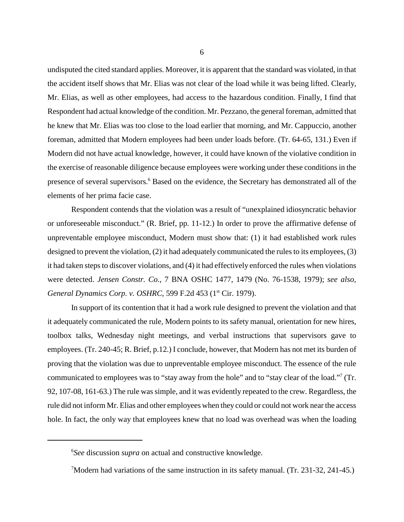undisputed the cited standard applies. Moreover, it is apparent that the standard was violated, in that the accident itself shows that Mr. Elias was not clear of the load while it was being lifted. Clearly, Mr. Elias, as well as other employees, had access to the hazardous condition. Finally, I find that Respondent had actual knowledge of the condition. Mr. Pezzano, the general foreman, admitted that he knew that Mr. Elias was too close to the load earlier that morning, and Mr. Cappuccio, another foreman, admitted that Modern employees had been under loads before. (Tr. 64-65, 131.) Even if Modern did not have actual knowledge, however, it could have known of the violative condition in the exercise of reasonable diligence because employees were working under these conditions in the presence of several supervisors.<sup>6</sup> Based on the evidence, the Secretary has demonstrated all of the elements of her prima facie case.

Respondent contends that the violation was a result of "unexplained idiosyncratic behavior or unforeseeable misconduct." (R. Brief, pp. 11-12.) In order to prove the affirmative defense of unpreventable employee misconduct, Modern must show that: (1) it had established work rules designed to prevent the violation, (2) it had adequately communicated the rules to its employees, (3) it had taken steps to discover violations, and (4) it had effectively enforced the rules when violations were detected. *Jensen Constr. Co.*, 7 BNA OSHC 1477, 1479 (No. 76-1538, 1979); *see also, General Dynamics Corp. v. OSHRC*, 599 F.2d 453 (1<sup>st</sup> Cir. 1979).

In support of its contention that it had a work rule designed to prevent the violation and that it adequately communicated the rule, Modern points to its safety manual, orientation for new hires, toolbox talks, Wednesday night meetings, and verbal instructions that supervisors gave to employees. (Tr. 240-45; R. Brief, p.12.) I conclude, however, that Modern has not met its burden of proving that the violation was due to unpreventable employee misconduct. The essence of the rule communicated to employees was to "stay away from the hole" and to "stay clear of the load."<sup>7</sup> (Tr. 92, 107-08, 161-63.) The rule was simple, and it was evidently repeated to the crew. Regardless, the rule did not inform Mr. Elias and other employees when they could or could not work near the access hole. In fact, the only way that employees knew that no load was overhead was when the loading

<sup>6</sup> *See* discussion *supra* on actual and constructive knowledge.

<sup>7</sup> Modern had variations of the same instruction in its safety manual. (Tr. 231-32, 241-45.)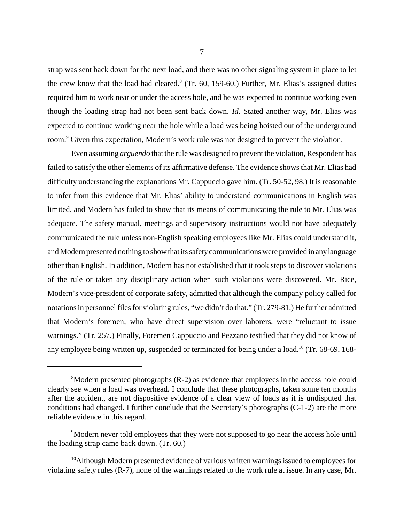strap was sent back down for the next load, and there was no other signaling system in place to let the crew know that the load had cleared. $8$  (Tr. 60, 159-60.) Further, Mr. Elias's assigned duties required him to work near or under the access hole, and he was expected to continue working even though the loading strap had not been sent back down. *Id.* Stated another way, Mr. Elias was expected to continue working near the hole while a load was being hoisted out of the underground room.<sup>9</sup> Given this expectation, Modern's work rule was not designed to prevent the violation.

Even assuming *arguendo* that the rule was designed to prevent the violation, Respondent has failed to satisfy the other elements of its affirmative defense. The evidence shows that Mr. Elias had difficulty understanding the explanations Mr. Cappuccio gave him. (Tr. 50-52, 98.) It is reasonable to infer from this evidence that Mr. Elias' ability to understand communications in English was limited, and Modern has failed to show that its means of communicating the rule to Mr. Elias was adequate. The safety manual, meetings and supervisory instructions would not have adequately communicated the rule unless non-English speaking employees like Mr. Elias could understand it, and Modern presented nothing to show that its safety communications were provided in any language other than English. In addition, Modern has not established that it took steps to discover violations of the rule or taken any disciplinary action when such violations were discovered. Mr. Rice, Modern's vice-president of corporate safety, admitted that although the company policy called for notations in personnel files for violating rules, "we didn't do that." (Tr. 279-81.) He further admitted that Modern's foremen, who have direct supervision over laborers, were "reluctant to issue warnings." (Tr. 257.) Finally, Foremen Cappuccio and Pezzano testified that they did not know of any employee being written up, suspended or terminated for being under a load.<sup>10</sup> (Tr. 68-69, 168-

<sup>&</sup>lt;sup>8</sup>Modern presented photographs (R-2) as evidence that employees in the access hole could clearly see when a load was overhead. I conclude that these photographs, taken some ten months after the accident, are not dispositive evidence of a clear view of loads as it is undisputed that conditions had changed. I further conclude that the Secretary's photographs (C-1-2) are the more reliable evidence in this regard.

<sup>&</sup>lt;sup>9</sup>Modern never told employees that they were not supposed to go near the access hole until the loading strap came back down. (Tr. 60.)

 $10$ Although Modern presented evidence of various written warnings issued to employees for violating safety rules (R-7), none of the warnings related to the work rule at issue. In any case, Mr.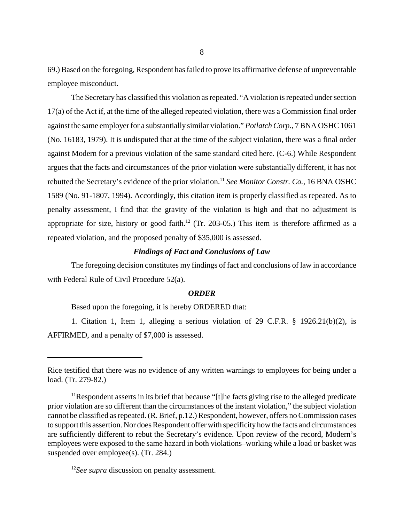69.) Based on the foregoing, Respondent has failed to prove its affirmative defense of unpreventable employee misconduct.

The Secretary has classified this violation as repeated. "A violation is repeated under section 17(a) of the Act if, at the time of the alleged repeated violation, there was a Commission final order against the same employer for a substantially similar violation." *Potlatch Corp.*, 7 BNA OSHC 1061 (No. 16183, 1979). It is undisputed that at the time of the subject violation, there was a final order against Modern for a previous violation of the same standard cited here. (C-6.) While Respondent argues that the facts and circumstances of the prior violation were substantially different, it has not rebutted the Secretary's evidence of the prior violation.11 *See Monitor Constr. Co.*, 16 BNA OSHC 1589 (No. 91-1807, 1994). Accordingly, this citation item is properly classified as repeated. As to penalty assessment, I find that the gravity of the violation is high and that no adjustment is appropriate for size, history or good faith.<sup>12</sup> (Tr. 203-05.) This item is therefore affirmed as a repeated violation, and the proposed penalty of \$35,000 is assessed.

## *Findings of Fact and Conclusions of Law*

The foregoing decision constitutes my findings of fact and conclusions of law in accordance with Federal Rule of Civil Procedure 52(a).

### *ORDER*

Based upon the foregoing, it is hereby ORDERED that:

1. Citation 1, Item 1, alleging a serious violation of 29 C.F.R. § 1926.21(b)(2), is AFFIRMED, and a penalty of \$7,000 is assessed.

Rice testified that there was no evidence of any written warnings to employees for being under a load. (Tr. 279-82.)

<sup>&</sup>lt;sup>11</sup>Respondent asserts in its brief that because "[t]he facts giving rise to the alleged predicate prior violation are so different than the circumstances of the instant violation," the subject violation cannot be classified as repeated. (R. Brief, p.12.) Respondent, however, offers no Commission cases to support this assertion. Nor does Respondent offer with specificity how the facts and circumstances are sufficiently different to rebut the Secretary's evidence. Upon review of the record, Modern's employees were exposed to the same hazard in both violations–working while a load or basket was suspended over employee(s). (Tr. 284.)

<sup>&</sup>lt;sup>12</sup>See supra discussion on penalty assessment.